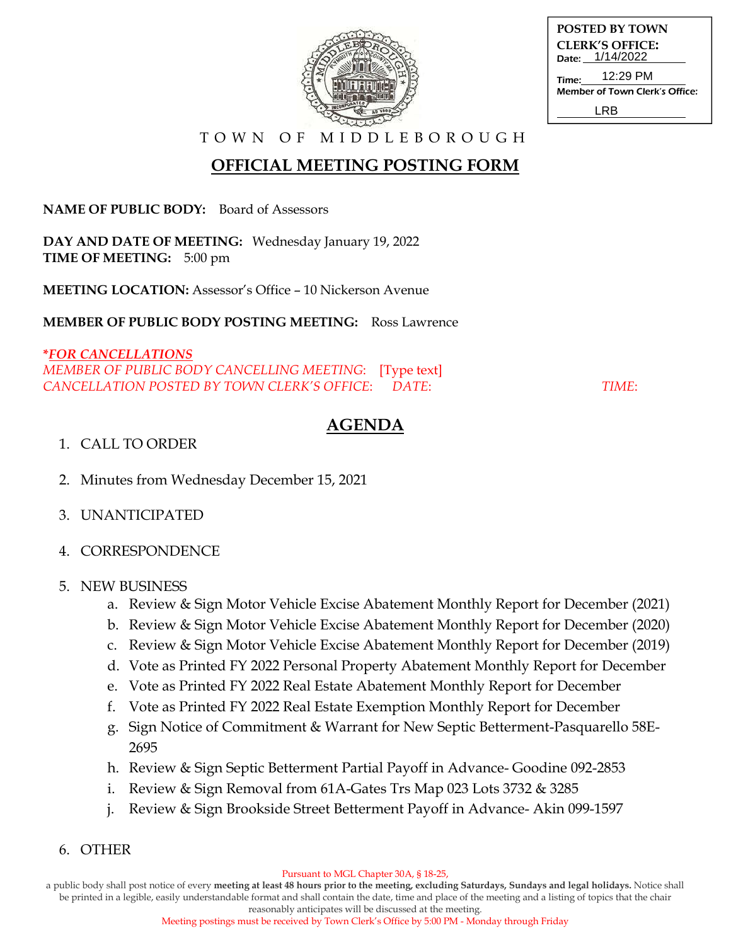

| <b>POSTED BY TOWN</b>          |
|--------------------------------|
| <b>CLERK'S OFFICE:</b>         |
| Date: 1/14/2022                |
| 12:29 PM<br>Time:              |
| Member of Town Clerk's Office: |
| I RB                           |

T O W N O F M I D D L E B O R O U G H

## **OFFICIAL MEETING POSTING FORM**

**NAME OF PUBLIC BODY:** Board of Assessors

**DAY AND DATE OF MEETING:** Wednesday January 19, 2022 **TIME OF MEETING:** 5:00 pm

**MEETING LOCATION:** Assessor's Office – 10 Nickerson Avenue

**MEMBER OF PUBLIC BODY POSTING MEETING:** Ross Lawrence

### **\****FOR CANCELLATIONS*

*MEMBER OF PUBLIC BODY CANCELLING MEETING*: [Type text] *CANCELLATION POSTED BY TOWN CLERK'S OFFICE*: *DATE*: *TIME*:

# **AGENDA**

#### 1. CALL TO ORDER

- 2. Minutes from Wednesday December 15, 2021
- 3. UNANTICIPATED
- 4. CORRESPONDENCE

#### 5. NEW BUSINESS

- a. Review & Sign Motor Vehicle Excise Abatement Monthly Report for December (2021)
- b. Review & Sign Motor Vehicle Excise Abatement Monthly Report for December (2020)
- c. Review & Sign Motor Vehicle Excise Abatement Monthly Report for December (2019)
- d. Vote as Printed FY 2022 Personal Property Abatement Monthly Report for December
- e. Vote as Printed FY 2022 Real Estate Abatement Monthly Report for December
- f. Vote as Printed FY 2022 Real Estate Exemption Monthly Report for December
- g. Sign Notice of Commitment & Warrant for New Septic Betterment-Pasquarello 58E-2695
- h. Review & Sign Septic Betterment Partial Payoff in Advance- Goodine 092-2853
- i. Review & Sign Removal from 61A-Gates Trs Map 023 Lots 3732 & 3285
- j. Review & Sign Brookside Street Betterment Payoff in Advance- Akin 099-1597
- 6. OTHER

Pursuant to MGL Chapter 30A, § 18-25,

a public body shall post notice of every **meeting at least 48 hours prior to the meeting, excluding Saturdays, Sundays and legal holidays.** Notice shall be printed in a legible, easily understandable format and shall contain the date, time and place of the meeting and a listing of topics that the chair reasonably anticipates will be discussed at the meeting.